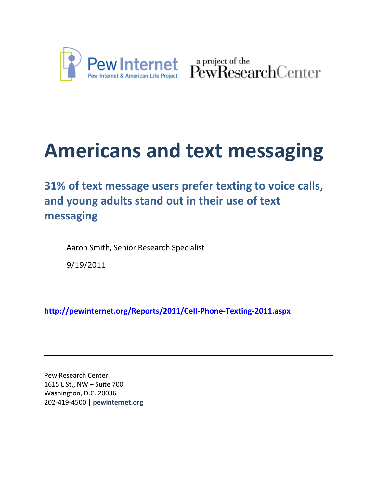

Pew Internet & American Life Project PewResearchCenter

# **Americans and text messaging**

**31% of text message users prefer texting to voice calls, and young adults stand out in their use of text messaging**

Aaron Smith, Senior Research Specialist

9/19/2011

**<http://pewinternet.org/Reports/2011/Cell-Phone-Texting-2011.aspx>**

Pew Research Center 1615 L St., NW – Suite 700 Washington, D.C. 20036 202-419-4500 | **pewinternet.org**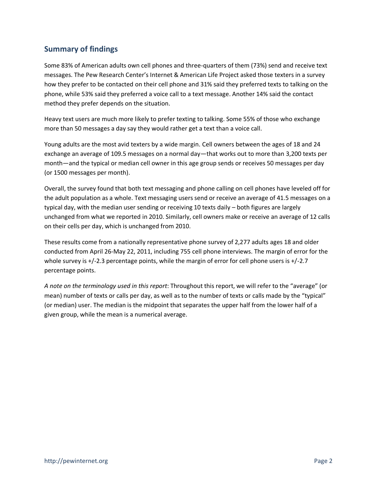# **Summary of findings**

Some 83% of American adults own cell phones and three-quarters of them (73%) send and receive text messages. The Pew Research Center's Internet & American Life Project asked those texters in a survey how they prefer to be contacted on their cell phone and 31% said they preferred texts to talking on the phone, while 53% said they preferred a voice call to a text message. Another 14% said the contact method they prefer depends on the situation.

Heavy text users are much more likely to prefer texting to talking. Some 55% of those who exchange more than 50 messages a day say they would rather get a text than a voice call.

Young adults are the most avid texters by a wide margin. Cell owners between the ages of 18 and 24 exchange an average of 109.5 messages on a normal day—that works out to more than 3,200 texts per month—and the typical or median cell owner in this age group sends or receives 50 messages per day (or 1500 messages per month).

Overall, the survey found that both text messaging and phone calling on cell phones have leveled off for the adult population as a whole. Text messaging users send or receive an average of 41.5 messages on a typical day, with the median user sending or receiving 10 texts daily – both figures are largely unchanged from what we reported in 2010. Similarly, cell owners make or receive an average of 12 calls on their cells per day, which is unchanged from 2010.

These results come from a nationally representative phone survey of 2,277 adults ages 18 and older conducted from April 26-May 22, 2011, including 755 cell phone interviews. The margin of error for the whole survey is +/-2.3 percentage points, while the margin of error for cell phone users is +/-2.7 percentage points.

*A note on the terminology used in this report*: Throughout this report, we will refer to the "average" (or mean) number of texts or calls per day, as well as to the number of texts or calls made by the "typical" (or median) user. The median is the midpoint that separates the upper half from the lower half of a given group, while the mean is a numerical average.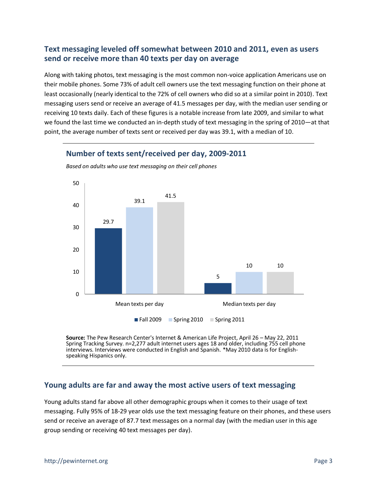# **Text messaging leveled off somewhat between 2010 and 2011, even as users send or receive more than 40 texts per day on average**

Along with taking photos, text messaging is the most common non-voice application Americans use on their mobile phones. Some 73% of adult cell owners use the text messaging function on their phone at least occasionally (nearly identical to the 72% of cell owners who did so at a similar point in 2010). Text messaging users send or receive an average of 41.5 messages per day, with the median user sending or receiving 10 texts daily. Each of these figures is a notable increase from late 2009, and similar to what we found the last time we conducted an in-depth study of text messaging in the spring of 2010—at that point, the average number of texts sent or received per day was 39.1, with a median of 10.



**Number of texts sent/received per day, 2009-2011**

*Based on adults who use text messaging on their cell phones*

**Source:** The Pew Research Center's Internet & American Life Project, April 26 – May 22, 2011 Spring Tracking Survey. n=2,277 adult internet users ages 18 and older, including 755 cell phone interviews. Interviews were conducted in English and Spanish. \*May 2010 data is for Englishspeaking Hispanics only.

## **Young adults are far and away the most active users of text messaging**

Young adults stand far above all other demographic groups when it comes to their usage of text messaging. Fully 95% of 18-29 year olds use the text messaging feature on their phones, and these users send or receive an average of 87.7 text messages on a normal day (with the median user in this age group sending or receiving 40 text messages per day).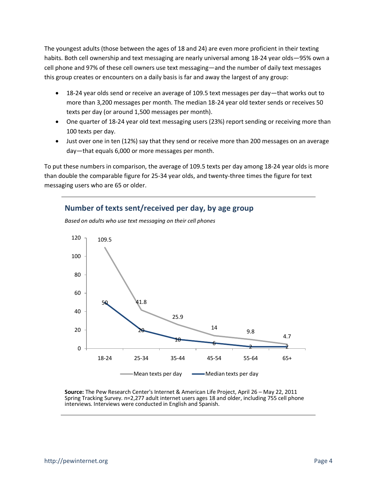The youngest adults (those between the ages of 18 and 24) are even more proficient in their texting habits. Both cell ownership and text messaging are nearly universal among 18-24 year olds—95% own a cell phone and 97% of these cell owners use text messaging—and the number of daily text messages this group creates or encounters on a daily basis is far and away the largest of any group:

- 18-24 year olds send or receive an average of 109.5 text messages per day—that works out to more than 3,200 messages per month. The median 18-24 year old texter sends or receives 50 texts per day (or around 1,500 messages per month).
- One quarter of 18-24 year old text messaging users (23%) report sending or receiving more than 100 texts per day.
- Just over one in ten (12%) say that they send or receive more than 200 messages on an average day—that equals 6,000 or more messages per month.

To put these numbers in comparison, the average of 109.5 texts per day among 18-24 year olds is more than double the comparable figure for 25-34 year olds, and twenty-three times the figure for text messaging users who are 65 or older.

#### **Number of texts sent/received per day, by age group**



*Based on adults who use text messaging on their cell phones*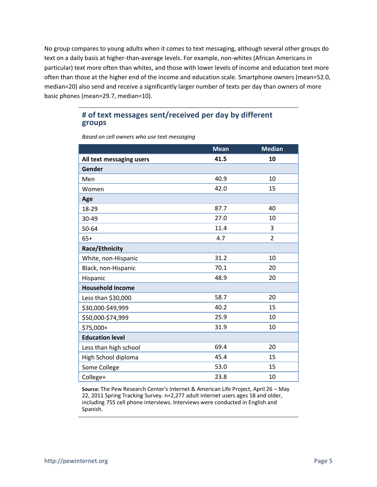No group compares to young adults when it comes to text messaging, although several other groups do text on a daily basis at higher-than-average levels. For example, non-whites (African Americans in particular) text more often than whites, and those with lower levels of income and education text more often than those at the higher end of the income and education scale. Smartphone owners (mean=52.0, median=20) also send and receive a significantly larger number of texts per day than owners of more basic phones (mean=29.7, median=10).

#### **# of text messages sent/received per day by different groups**

|                          | <b>Mean</b> | <b>Median</b>  |
|--------------------------|-------------|----------------|
| All text messaging users | 41.5        | 10             |
| Gender                   |             |                |
| Men                      | 40.9        | 10             |
| Women                    | 42.0        | 15             |
| Age                      |             |                |
| 18-29                    | 87.7        | 40             |
| 30-49                    | 27.0        | 10             |
| 50-64                    | 11.4        | 3              |
| $65+$                    | 4.7         | $\overline{2}$ |
| <b>Race/Ethnicity</b>    |             |                |
| White, non-Hispanic      | 31.2        | 10             |
| Black, non-Hispanic      | 70.1        | 20             |
| Hispanic                 | 48.9        | 20             |
| <b>Household Income</b>  |             |                |
| Less than \$30,000       | 58.7        | 20             |
| \$30,000-\$49,999        | 40.2        | 15             |
| \$50,000-\$74,999        | 25.9        | 10             |
| \$75,000+                | 31.9        | 10             |
| <b>Education level</b>   |             |                |
| Less than high school    | 69.4        | 20             |
| High School diploma      | 45.4        | 15             |
| Some College             | 53.0        | 15             |
| College+                 | 23.8        | 10             |

*Based on cell owners who use text messaging*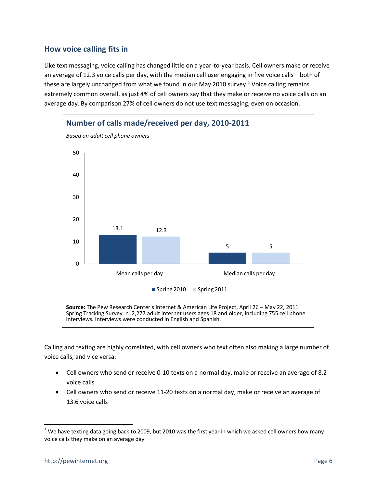#### **How voice calling fits in**

Like text messaging, voice calling has changed little on a year-to-year basis. Cell owners make or receive an average of 12.3 voice calls per day, with the median cell user engaging in five voice calls—both of these are largely unchanged from what we found in our May 2010 survey.<sup>1</sup> Voice calling remains extremely common overall, as just 4% of cell owners say that they make or receive no voice calls on an average day. By comparison 27% of cell owners do not use text messaging, even on occasion.



*Based on adult cell phone owners*

**Source:** The Pew Research Center's Internet & American Life Project, April 26 – May 22, 2011 Spring Tracking Survey. n=2,277 adult internet users ages 18 and older, including 755 cell phone interviews. Interviews were conducted in English and Spanish.

Calling and texting are highly correlated, with cell owners who text often also making a large number of voice calls, and vice versa:

- Cell owners who send or receive 0-10 texts on a normal day, make or receive an average of 8.2 voice calls
- Cell owners who send or receive 11-20 texts on a normal day, make or receive an average of 13.6 voice calls

 $\overline{a}$ 

 $1$  We have texting data going back to 2009, but 2010 was the first year in which we asked cell owners how many voice calls they make on an average day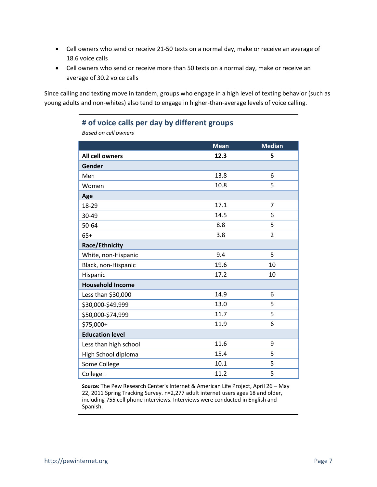- Cell owners who send or receive 21-50 texts on a normal day, make or receive an average of 18.6 voice calls
- Cell owners who send or receive more than 50 texts on a normal day, make or receive an average of 30.2 voice calls

Since calling and texting move in tandem, groups who engage in a high level of texting behavior (such as young adults and non-whites) also tend to engage in higher-than-average levels of voice calling.

# **# of voice calls per day by different groups**

*Based on cell owners* 

|                         | <b>Mean</b> | <b>Median</b>  |
|-------------------------|-------------|----------------|
| All cell owners         | 12.3        | 5              |
| Gender                  |             |                |
| Men                     | 13.8        | 6              |
| Women                   | 10.8        | 5              |
| Age                     |             |                |
| 18-29                   | 17.1        | 7              |
| 30-49                   | 14.5        | 6              |
| 50-64                   | 8.8         | 5              |
| $65+$                   | 3.8         | $\overline{2}$ |
| Race/Ethnicity          |             |                |
| White, non-Hispanic     | 9.4         | 5              |
| Black, non-Hispanic     | 19.6        | 10             |
| Hispanic                | 17.2        | 10             |
| <b>Household Income</b> |             |                |
| Less than \$30,000      | 14.9        | 6              |
| \$30,000-\$49,999       | 13.0        | 5              |
| \$50,000-\$74,999       | 11.7        | 5              |
| \$75,000+               | 11.9        | 6              |
| <b>Education level</b>  |             |                |
| Less than high school   | 11.6        | 9              |
| High School diploma     | 15.4        | 5              |
| Some College            | 10.1        | 5              |
| College+                | 11.2        | 5              |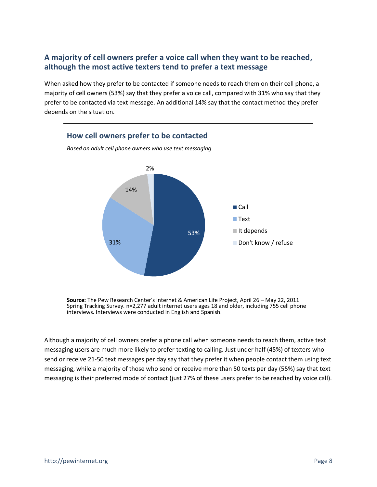# **A majority of cell owners prefer a voice call when they want to be reached, although the most active texters tend to prefer a text message**

When asked how they prefer to be contacted if someone needs to reach them on their cell phone, a majority of cell owners (53%) say that they prefer a voice call, compared with 31% who say that they prefer to be contacted via text message. An additional 14% say that the contact method they prefer depends on the situation.



**Source:** The Pew Research Center's Internet & American Life Project, April 26 – May 22, 2011 Spring Tracking Survey. n=2,277 adult internet users ages 18 and older, including 755 cell phone interviews. Interviews were conducted in English and Spanish.

Although a majority of cell owners prefer a phone call when someone needs to reach them, active text messaging users are much more likely to prefer texting to calling. Just under half (45%) of texters who send or receive 21-50 text messages per day say that they prefer it when people contact them using text messaging, while a majority of those who send or receive more than 50 texts per day (55%) say that text messaging is their preferred mode of contact (just 27% of these users prefer to be reached by voice call).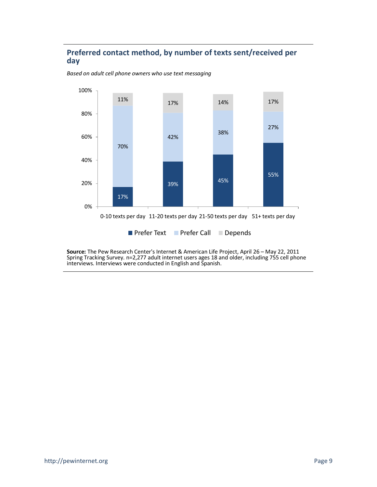### **Preferred contact method, by number of texts sent/received per day**



*Based on adult cell phone owners who use text messaging*

**Prefer Text Prefer Call Depends**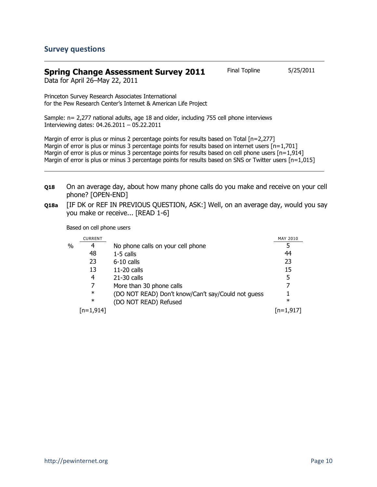#### **Spring Change Assessment Survey 2011** Final Topline 5/25/2011

Data for April 26–May 22, 2011

Princeton Survey Research Associates International for the Pew Research Center's Internet & American Life Project

Sample: n= 2,277 national adults, age 18 and older, including 755 cell phone interviews Interviewing dates: 04.26.2011 – 05.22.2011

Margin of error is plus or minus 2 percentage points for results based on Total [n=2,277] Margin of error is plus or minus 3 percentage points for results based on internet users  $[n=1,701]$ Margin of error is plus or minus 3 percentage points for results based on cell phone users [n=1,914] Margin of error is plus or minus 3 percentage points for results based on SNS or Twitter users [n=1,015]

- **Q18** On an average day, about how many phone calls do you make and receive on your cell phone? [OPEN-END]
- **Q18a** [IF DK or REF IN PREVIOUS QUESTION, ASK:] Well, on an average day, would you say you make or receive... [READ 1-6]

Based on cell phone users

|   | <b>CURRENT</b> |                                                    | MAY 2010    |
|---|----------------|----------------------------------------------------|-------------|
| % | 4              | No phone calls on your cell phone                  |             |
|   | 48             | $1-5$ calls                                        | 44          |
|   | 23             | $6-10$ calls                                       | 23          |
|   | 13             | $11-20$ calls                                      | 15          |
|   | 4              | $21-30$ calls                                      | 5           |
|   |                | More than 30 phone calls                           | 7           |
|   | $\ast$         | (DO NOT READ) Don't know/Can't say/Could not guess |             |
|   | $\ast$         | (DO NOT READ) Refused                              | $\ast$      |
|   | [n=1,914]      |                                                    | $[n=1,917]$ |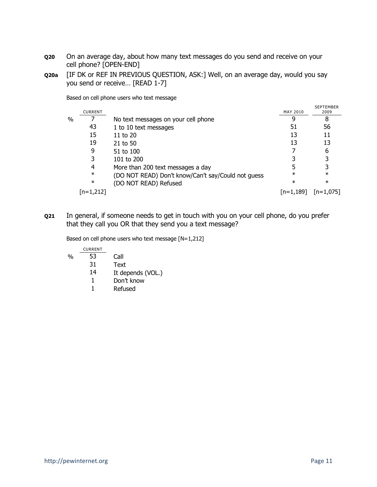- **Q20** On an average day, about how many text messages do you send and receive on your cell phone? [OPEN-END]
- **Q20a** [IF DK or REF IN PREVIOUS QUESTION, ASK:] Well, on an average day, would you say you send or receive… [READ 1-7]

Based on cell phone users who text message

|   | <b>CURRENT</b> |                                                    | MAY 2010    | <b>SEPTEMBER</b><br>2009 |
|---|----------------|----------------------------------------------------|-------------|--------------------------|
| % |                | No text messages on your cell phone                |             | 8                        |
|   | 43             | 1 to 10 text messages                              | 51          | 56                       |
|   | 15             | 11 to $20$                                         | 13          | 11                       |
|   | 19             | 21 to 50                                           | 13          | 13                       |
|   | 9              | 51 to 100                                          |             | 6                        |
|   | 3              | 101 to 200                                         |             | 3                        |
|   | 4              | More than 200 text messages a day                  |             | 3                        |
|   | $\ast$         | (DO NOT READ) Don't know/Can't say/Could not guess | $\ast$      | $\ast$                   |
|   | $\ast$         | (DO NOT READ) Refused                              | $\ast$      | $\ast$                   |
|   | $[n=1,212]$    |                                                    | $[n=1,189]$ | $ n=1.075 $              |

**Q21** In general, if someone needs to get in touch with you on your cell phone, do you prefer that they call you OR that they send you a text message?

Based on cell phone users who text message [N=1,212]

| <b>CURRENT</b> |                   |
|----------------|-------------------|
| 53             | Call              |
| 31             | Text              |
| 14             | It depends (VOL.) |
| 1.             | Don't know        |
|                | Refused           |
|                |                   |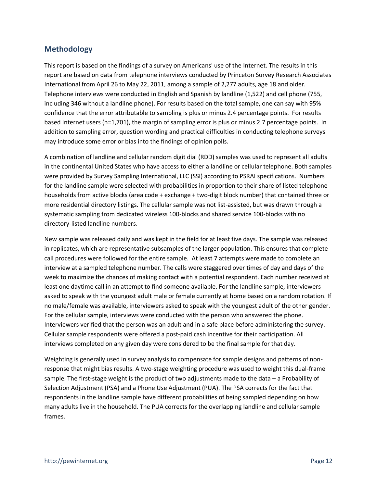### **Methodology**

This report is based on the findings of a survey on Americans' use of the Internet. The results in this report are based on data from telephone interviews conducted by Princeton Survey Research Associates International from April 26 to May 22, 2011, among a sample of 2,277 adults, age 18 and older. Telephone interviews were conducted in English and Spanish by landline (1,522) and cell phone (755, including 346 without a landline phone). For results based on the total sample, one can say with 95% confidence that the error attributable to sampling is plus or minus 2.4 percentage points. For results based Internet users (n=1,701), the margin of sampling error is plus or minus 2.7 percentage points. In addition to sampling error, question wording and practical difficulties in conducting telephone surveys may introduce some error or bias into the findings of opinion polls.

A combination of landline and cellular random digit dial (RDD) samples was used to represent all adults in the continental United States who have access to either a landline or cellular telephone. Both samples were provided by Survey Sampling International, LLC (SSI) according to PSRAI specifications. Numbers for the landline sample were selected with probabilities in proportion to their share of listed telephone households from active blocks (area code + exchange + two-digit block number) that contained three or more residential directory listings. The cellular sample was not list-assisted, but was drawn through a systematic sampling from dedicated wireless 100-blocks and shared service 100-blocks with no directory-listed landline numbers.

New sample was released daily and was kept in the field for at least five days. The sample was released in replicates, which are representative subsamples of the larger population. This ensures that complete call procedures were followed for the entire sample. At least 7 attempts were made to complete an interview at a sampled telephone number. The calls were staggered over times of day and days of the week to maximize the chances of making contact with a potential respondent. Each number received at least one daytime call in an attempt to find someone available. For the landline sample, interviewers asked to speak with the youngest adult male or female currently at home based on a random rotation. If no male/female was available, interviewers asked to speak with the youngest adult of the other gender. For the cellular sample, interviews were conducted with the person who answered the phone. Interviewers verified that the person was an adult and in a safe place before administering the survey. Cellular sample respondents were offered a post-paid cash incentive for their participation. All interviews completed on any given day were considered to be the final sample for that day.

Weighting is generally used in survey analysis to compensate for sample designs and patterns of nonresponse that might bias results. A two-stage weighting procedure was used to weight this dual-frame sample. The first-stage weight is the product of two adjustments made to the data – a Probability of Selection Adjustment (PSA) and a Phone Use Adjustment (PUA). The PSA corrects for the fact that respondents in the landline sample have different probabilities of being sampled depending on how many adults live in the household. The PUA corrects for the overlapping landline and cellular sample frames.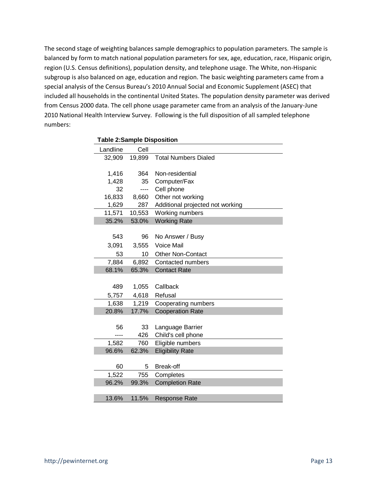The second stage of weighting balances sample demographics to population parameters. The sample is balanced by form to match national population parameters for sex, age, education, race, Hispanic origin, region (U.S. Census definitions), population density, and telephone usage. The White, non-Hispanic subgroup is also balanced on age, education and region. The basic weighting parameters came from a special analysis of the Census Bureau's 2010 Annual Social and Economic Supplement (ASEC) that included all households in the continental United States. The population density parameter was derived from Census 2000 data. The cell phone usage parameter came from an analysis of the January-June 2010 National Health Interview Survey. Following is the full disposition of all sampled telephone numbers:

| rable z:Sample Disposition |        |                                  |  |
|----------------------------|--------|----------------------------------|--|
| Landline                   | Cell   |                                  |  |
| 32,909                     | 19,899 | <b>Total Numbers Dialed</b>      |  |
|                            |        |                                  |  |
| 1,416                      | 364    | Non-residential                  |  |
| 1,428                      | 35     | Computer/Fax                     |  |
| 32                         | ----   | Cell phone                       |  |
| 16,833                     | 8,660  | Other not working                |  |
| 1,629                      | 287    | Additional projected not working |  |
| 11,571                     | 10,553 | Working numbers                  |  |
| 35.2%                      | 53.0%  | <b>Working Rate</b>              |  |
|                            |        |                                  |  |
| 543                        | 96     | No Answer / Busy                 |  |
| 3,091                      | 3,555  | <b>Voice Mail</b>                |  |
| 53                         | 10     | <b>Other Non-Contact</b>         |  |
| 7,884                      | 6,892  | Contacted numbers                |  |
| 68.1%                      | 65.3%  | <b>Contact Rate</b>              |  |
|                            |        |                                  |  |
| 489                        | 1,055  | Callback                         |  |
| 5,757                      | 4,618  | Refusal                          |  |
| 1,638                      | 1,219  | Cooperating numbers              |  |
| 20.8%                      | 17.7%  | <b>Cooperation Rate</b>          |  |
|                            |        |                                  |  |
| 56                         | 33     | Language Barrier                 |  |
|                            | 426    | Child's cell phone               |  |
| 1,582                      | 760    | Eligible numbers                 |  |
| 96.6%                      | 62.3%  | <b>Eligibility Rate</b>          |  |
|                            |        |                                  |  |
| 60                         | 5      | <b>Break-off</b>                 |  |
| 1,522                      | 755    | Completes                        |  |
| 96.2%                      | 99.3%  | <b>Completion Rate</b>           |  |
|                            |        |                                  |  |
| 13.6%                      | 11.5%  | <b>Response Rate</b>             |  |

**Table 2:Sample Disposition**